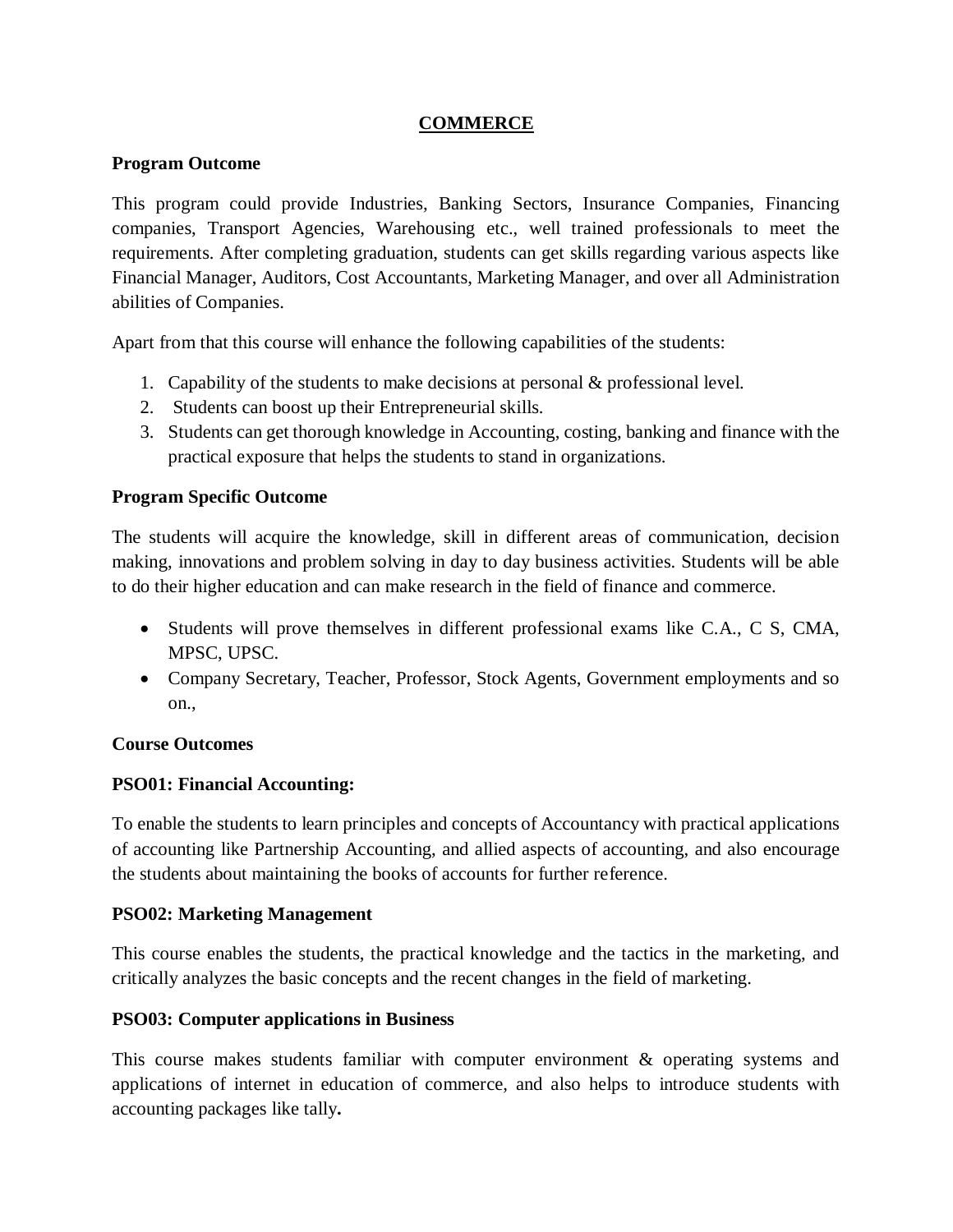# **COMMERCE**

# **Program Outcome**

This program could provide Industries, Banking Sectors, Insurance Companies, Financing companies, Transport Agencies, Warehousing etc., well trained professionals to meet the requirements. After completing graduation, students can get skills regarding various aspects like Financial Manager, Auditors, Cost Accountants, Marketing Manager, and over all Administration abilities of Companies.

Apart from that this course will enhance the following capabilities of the students:

- 1. Capability of the students to make decisions at personal & professional level.
- 2. Students can boost up their Entrepreneurial skills.
- 3. Students can get thorough knowledge in Accounting, costing, banking and finance with the practical exposure that helps the students to stand in organizations.

# **Program Specific Outcome**

The students will acquire the knowledge, skill in different areas of communication, decision making, innovations and problem solving in day to day business activities. Students will be able to do their higher education and can make research in the field of finance and commerce.

- Students will prove themselves in different professional exams like C.A., C S, CMA, MPSC, UPSC.
- Company Secretary, Teacher, Professor, Stock Agents, Government employments and so on.,

# **Course Outcomes**

# **PSO01: Financial Accounting:**

To enable the students to learn principles and concepts of Accountancy with practical applications of accounting like Partnership Accounting, and allied aspects of accounting, and also encourage the students about maintaining the books of accounts for further reference.

# **PSO02: Marketing Management**

This course enables the students, the practical knowledge and the tactics in the marketing, and critically analyzes the basic concepts and the recent changes in the field of marketing.

# **PSO03: Computer applications in Business**

This course makes students familiar with computer environment & operating systems and applications of internet in education of commerce, and also helps to introduce students with accounting packages like tally**.**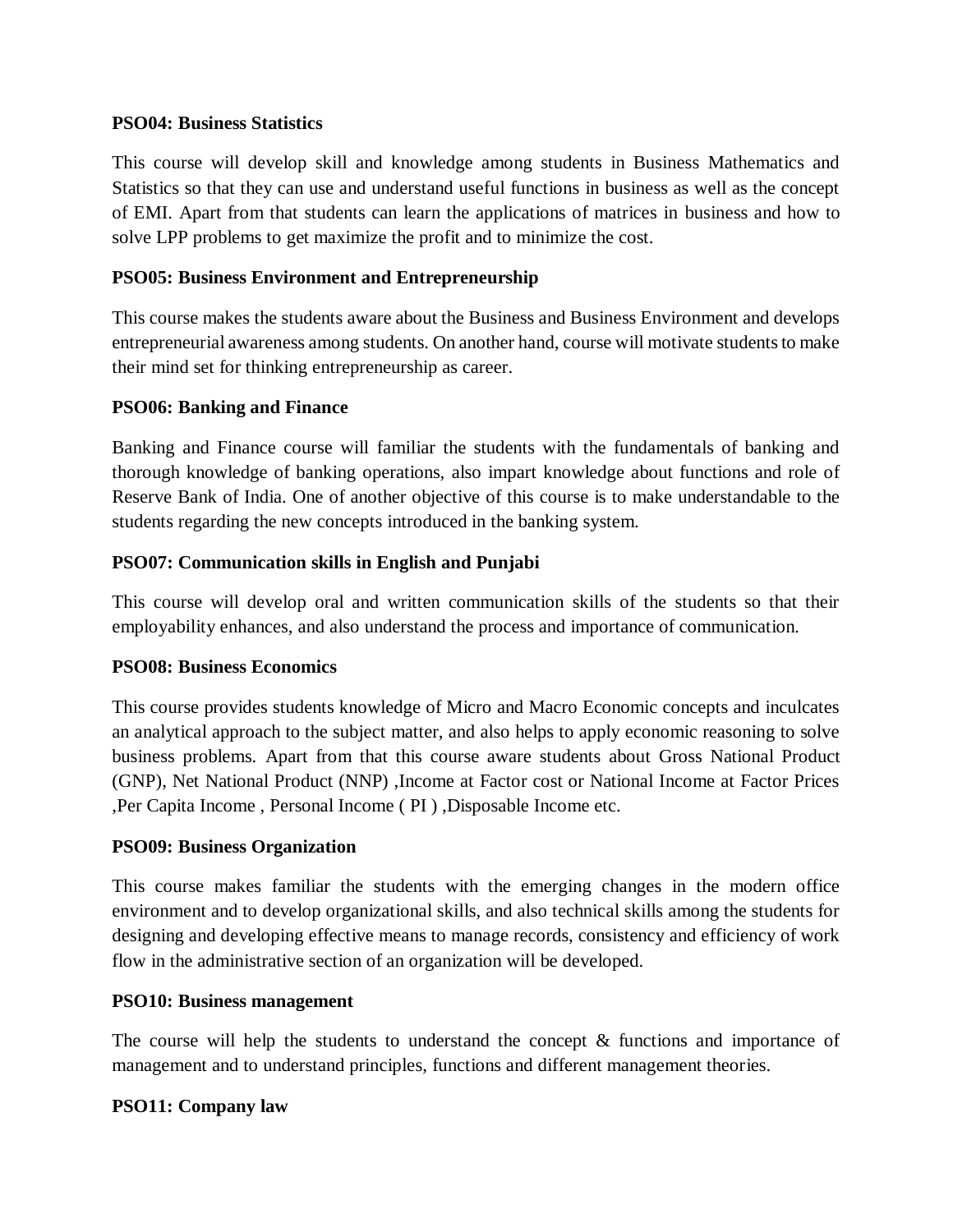## **PSO04: Business Statistics**

This course will develop skill and knowledge among students in Business Mathematics and Statistics so that they can use and understand useful functions in business as well as the concept of EMI. Apart from that students can learn the applications of matrices in business and how to solve LPP problems to get maximize the profit and to minimize the cost.

## **PSO05: Business Environment and Entrepreneurship**

This course makes the students aware about the Business and Business Environment and develops entrepreneurial awareness among students. On another hand, course will motivate students to make their mind set for thinking entrepreneurship as career.

## **PSO06: Banking and Finance**

Banking and Finance course will familiar the students with the fundamentals of banking and thorough knowledge of banking operations, also impart knowledge about functions and role of Reserve Bank of India. One of another objective of this course is to make understandable to the students regarding the new concepts introduced in the banking system.

## **PSO07: Communication skills in English and Punjabi**

This course will develop oral and written communication skills of the students so that their employability enhances, and also understand the process and importance of communication.

#### **PSO08: Business Economics**

This course provides students knowledge of Micro and Macro Economic concepts and inculcates an analytical approach to the subject matter, and also helps to apply economic reasoning to solve business problems. Apart from that this course aware students about Gross National Product (GNP), Net National Product (NNP) ,Income at Factor cost or National Income at Factor Prices ,Per Capita Income , Personal Income ( PI ) ,Disposable Income etc.

#### **PSO09: Business Organization**

This course makes familiar the students with the emerging changes in the modern office environment and to develop organizational skills, and also technical skills among the students for designing and developing effective means to manage records, consistency and efficiency of work flow in the administrative section of an organization will be developed.

#### **PSO10: Business management**

The course will help the students to understand the concept & functions and importance of management and to understand principles, functions and different management theories.

# **PSO11: Company law**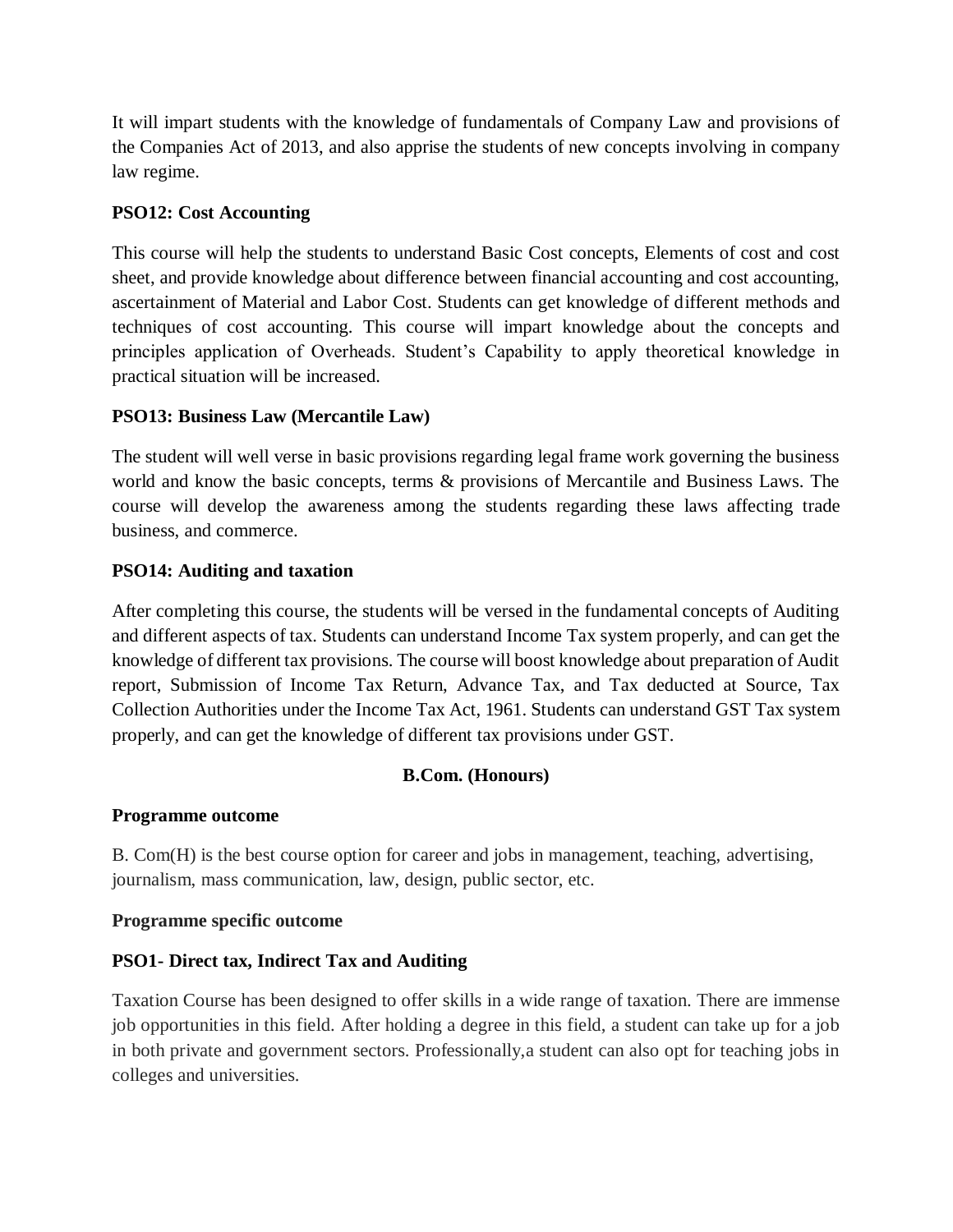It will impart students with the knowledge of fundamentals of Company Law and provisions of the Companies Act of 2013, and also apprise the students of new concepts involving in company law regime.

# **PSO12: Cost Accounting**

This course will help the students to understand Basic Cost concepts, Elements of cost and cost sheet, and provide knowledge about difference between financial accounting and cost accounting, ascertainment of Material and Labor Cost. Students can get knowledge of different methods and techniques of cost accounting. This course will impart knowledge about the concepts and principles application of Overheads. Student's Capability to apply theoretical knowledge in practical situation will be increased.

# **PSO13: Business Law (Mercantile Law)**

The student will well verse in basic provisions regarding legal frame work governing the business world and know the basic concepts, terms & provisions of Mercantile and Business Laws. The course will develop the awareness among the students regarding these laws affecting trade business, and commerce.

# **PSO14: Auditing and taxation**

After completing this course, the students will be versed in the fundamental concepts of Auditing and different aspects of tax. Students can understand Income Tax system properly, and can get the knowledge of different tax provisions. The course will boost knowledge about preparation of Audit report, Submission of Income Tax Return, Advance Tax, and Tax deducted at Source, Tax Collection Authorities under the Income Tax Act, 1961. Students can understand GST Tax system properly, and can get the knowledge of different tax provisions under GST.

# **B.Com. (Honours)**

# **Programme outcome**

B. Com(H) is the best course option for career and jobs in management, teaching, advertising, journalism, mass communication, law, design, public sector, etc.

# **Programme specific outcome**

# **PSO1- Direct tax, Indirect Tax and Auditing**

Taxation Course has been designed to offer skills in a wide range of taxation. There are immense job opportunities in this field. After holding a degree in this field, a student can take up for a job in both private and government sectors. Professionally,a student can also opt for teaching jobs in colleges and universities.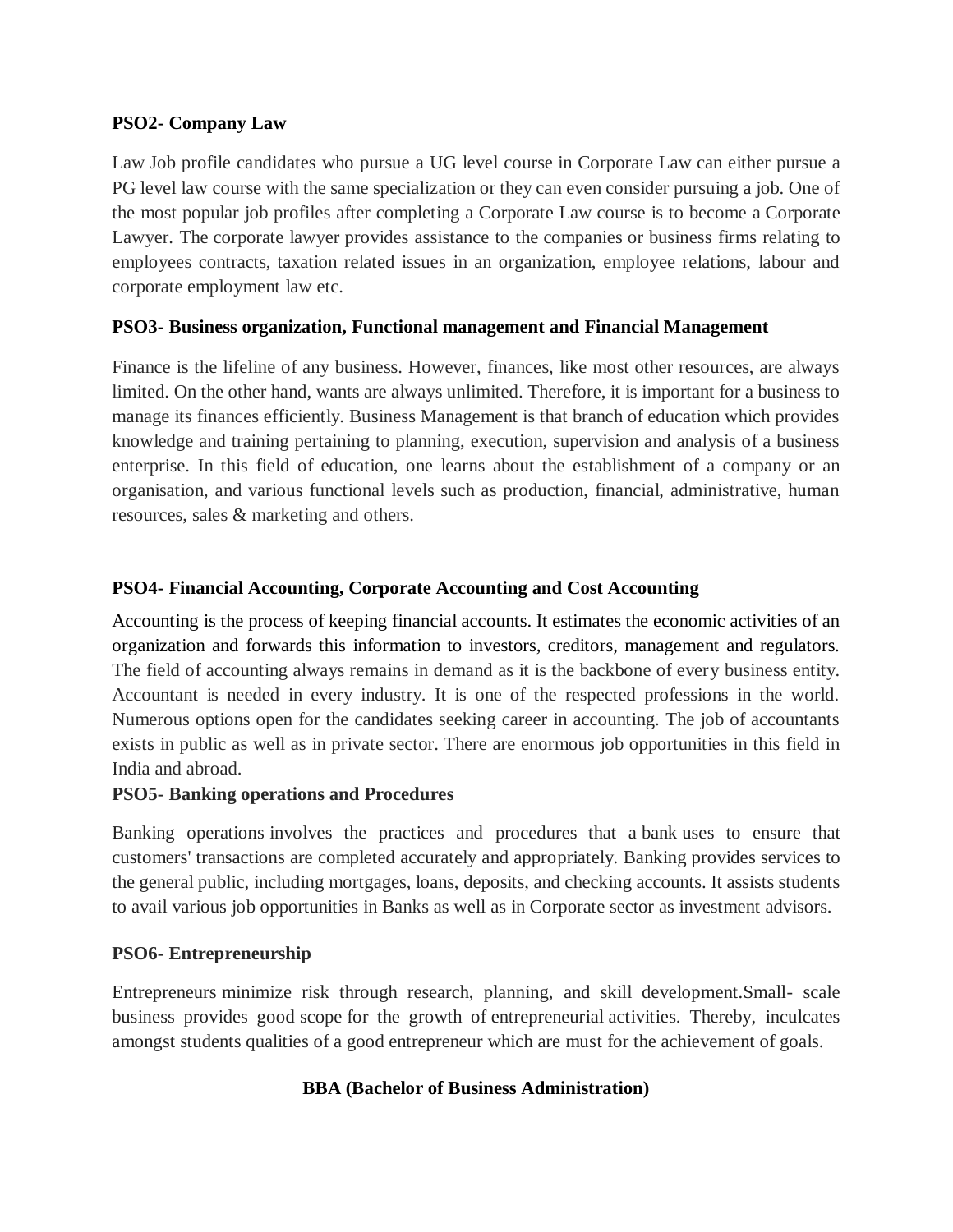## **PSO2- Company Law**

Law Job profile candidates who pursue a UG level course in Corporate Law can either pursue a PG level law course with the same specialization or they can even consider pursuing a job. One of the most popular job profiles after completing a Corporate Law course is to become a Corporate Lawyer. The corporate lawyer provides assistance to the companies or business firms relating to employees contracts, taxation related issues in an organization, employee relations, labour and corporate employment law etc.

## **PSO3- Business organization, Functional management and Financial Management**

Finance is the lifeline of any business. However, finances, like most other resources, are always limited. On the other hand, wants are always unlimited. Therefore, it is important for a business to manage its finances efficiently. Business Management is that branch of education which provides knowledge and training pertaining to planning, execution, supervision and analysis of a business enterprise. In this field of education, one learns about the establishment of a company or an organisation, and various functional levels such as production, financial, administrative, human resources, sales & marketing and others.

# **PSO4- Financial Accounting, Corporate Accounting and Cost Accounting**

Accounting is the process of keeping financial accounts. It estimates the economic activities of an organization and forwards this information to investors, creditors, management and regulators. The field of accounting always remains in demand as it is the backbone of every business entity. Accountant is needed in every industry. It is one of the respected professions in the world. Numerous options open for the candidates seeking career in accounting. The job of accountants exists in public as well as in private sector. There are enormous job opportunities in this field in India and abroad.

#### **PSO5- Banking operations and Procedures**

Banking operations involves the practices and procedures that a bank uses to ensure that customers' transactions are completed accurately and appropriately. Banking provides services to the general public, including mortgages, loans, deposits, and checking accounts. It assists students to avail various job opportunities in Banks as well as in Corporate sector as investment advisors.

# **PSO6- Entrepreneurship**

Entrepreneurs minimize risk through research, planning, and skill development.Small- scale business provides good scope for the growth of entrepreneurial activities. Thereby, inculcates amongst students qualities of a good entrepreneur which are must for the achievement of goals.

#### **BBA (Bachelor of Business Administration)**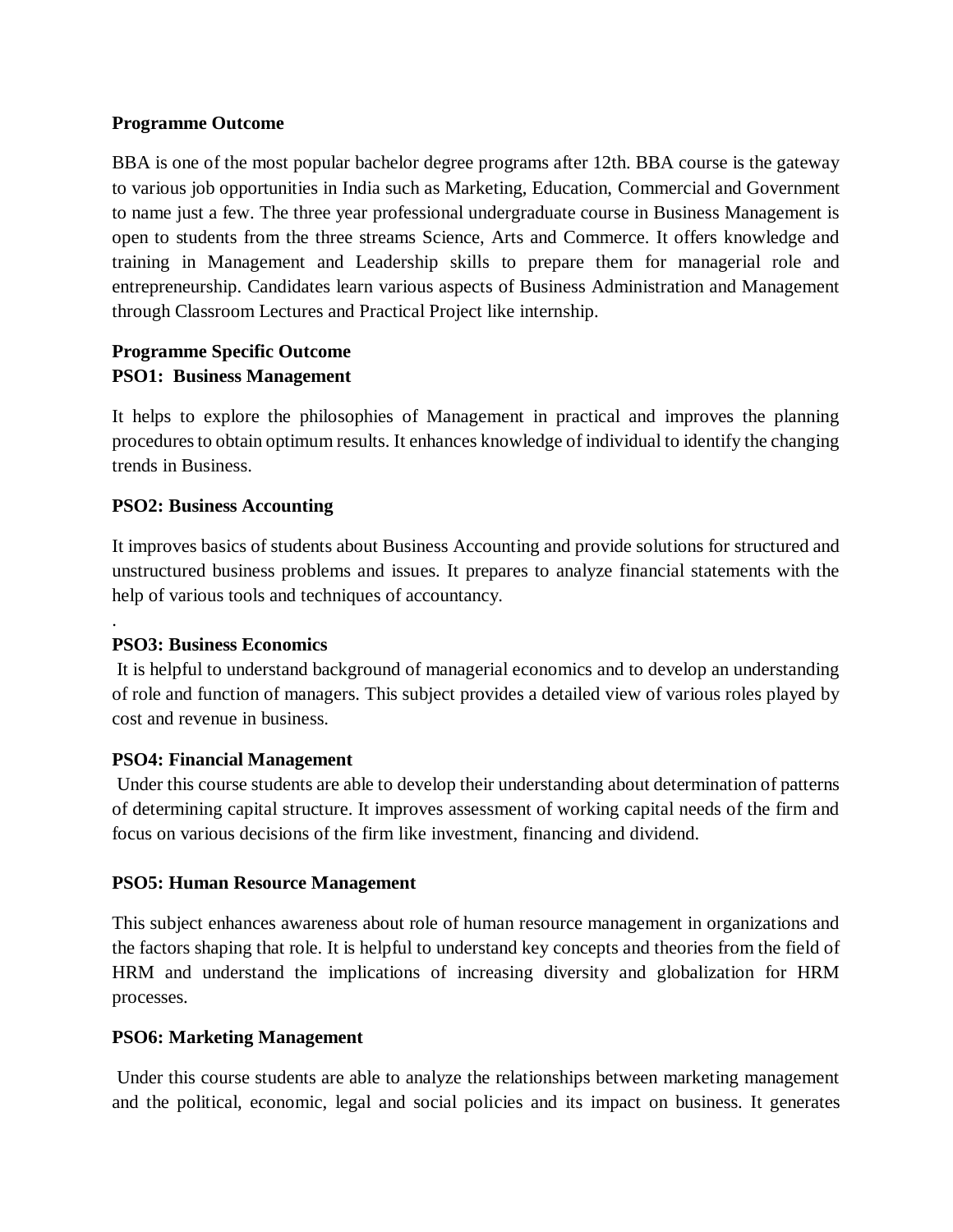### **Programme Outcome**

BBA is one of the most popular bachelor degree programs after 12th. BBA course is the gateway to various job opportunities in India such as Marketing, Education, Commercial and Government to name just a few. The three year professional undergraduate course in Business Management is open to students from the three streams Science, Arts and Commerce. It offers knowledge and training in Management and Leadership skills to prepare them for managerial role and entrepreneurship. Candidates learn various aspects of Business Administration and Management through Classroom Lectures and Practical Project like internship.

# **Programme Specific Outcome PSO1: Business Management**

It helps to explore the philosophies of Management in practical and improves the planning procedures to obtain optimum results. It enhances knowledge of individual to identify the changing trends in Business.

# **PSO2: Business Accounting**

It improves basics of students about Business Accounting and provide solutions for structured and unstructured business problems and issues. It prepares to analyze financial statements with the help of various tools and techniques of accountancy.

# **PSO3: Business Economics**

.

It is helpful to understand background of managerial economics and to develop an understanding of role and function of managers. This subject provides a detailed view of various roles played by cost and revenue in business.

#### **PSO4: Financial Management**

Under this course students are able to develop their understanding about determination of patterns of determining capital structure. It improves assessment of working capital needs of the firm and focus on various decisions of the firm like investment, financing and dividend.

#### **PSO5: Human Resource Management**

This subject enhances awareness about role of human resource management in organizations and the factors shaping that role. It is helpful to understand key concepts and theories from the field of HRM and understand the implications of increasing diversity and globalization for HRM processes.

#### **PSO6: Marketing Management**

Under this course students are able to analyze the relationships between marketing management and the political, economic, legal and social policies and its impact on business. It generates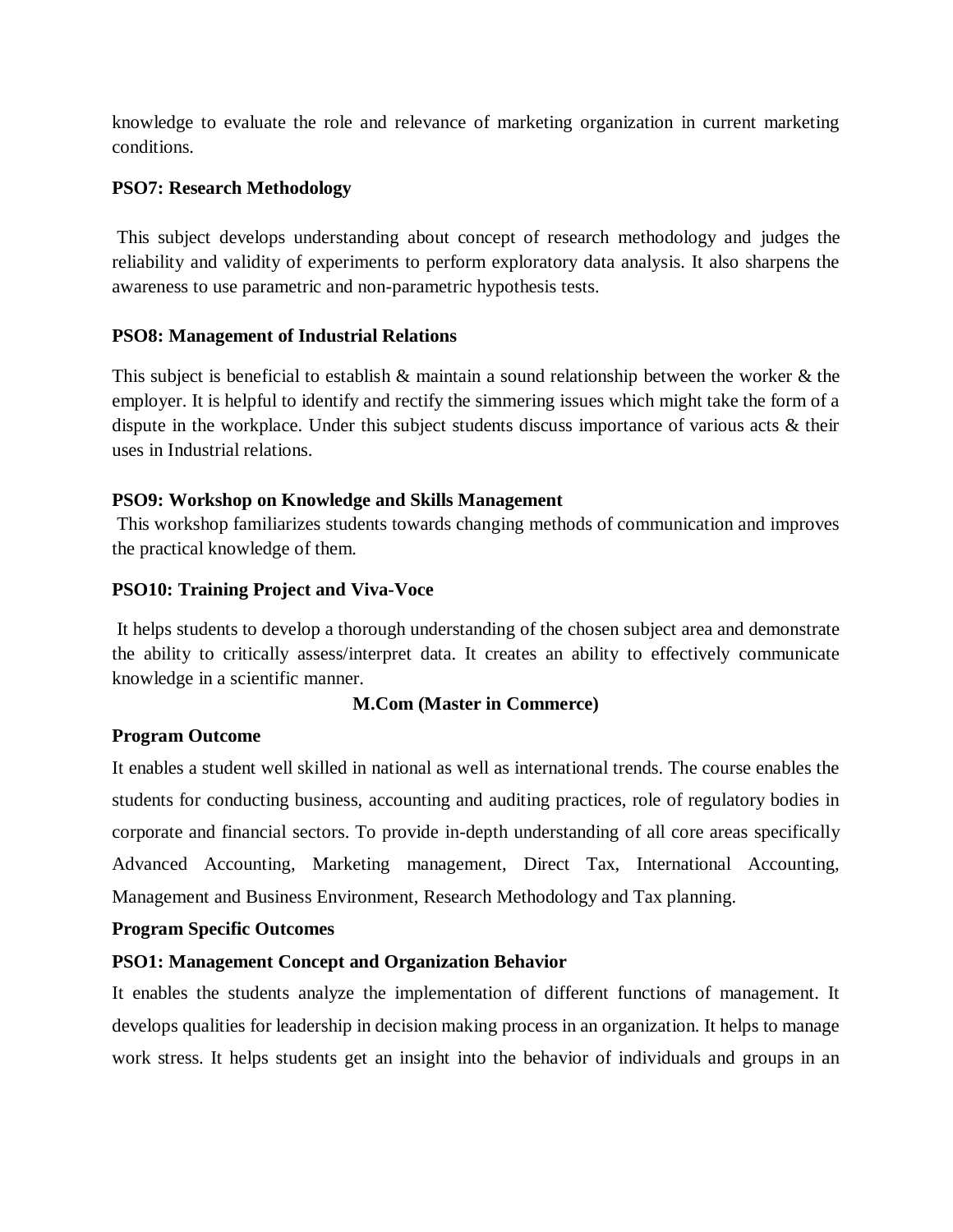knowledge to evaluate the role and relevance of marketing organization in current marketing conditions.

# **PSO7: Research Methodology**

This subject develops understanding about concept of research methodology and judges the reliability and validity of experiments to perform exploratory data analysis. It also sharpens the awareness to use parametric and non-parametric hypothesis tests.

# **PSO8: Management of Industrial Relations**

This subject is beneficial to establish & maintain a sound relationship between the worker & the employer. It is helpful to identify and rectify the simmering issues which might take the form of a dispute in the workplace. Under this subject students discuss importance of various acts & their uses in Industrial relations.

# **PSO9: Workshop on Knowledge and Skills Management**

This workshop familiarizes students towards changing methods of communication and improves the practical knowledge of them.

# **PSO10: Training Project and Viva-Voce**

It helps students to develop a thorough understanding of the chosen subject area and demonstrate the ability to critically assess/interpret data. It creates an ability to effectively communicate knowledge in a scientific manner.

# **M.Com (Master in Commerce)**

# **Program Outcome**

It enables a student well skilled in national as well as international trends. The course enables the students for conducting business, accounting and auditing practices, role of regulatory bodies in corporate and financial sectors. To provide in-depth understanding of all core areas specifically Advanced Accounting, Marketing management, Direct Tax, International Accounting, Management and Business Environment, Research Methodology and Tax planning.

# **Program Specific Outcomes**

# **PSO1: Management Concept and Organization Behavior**

It enables the students analyze the implementation of different functions of management. It develops qualities for leadership in decision making process in an organization. It helps to manage work stress. It helps students get an insight into the behavior of individuals and groups in an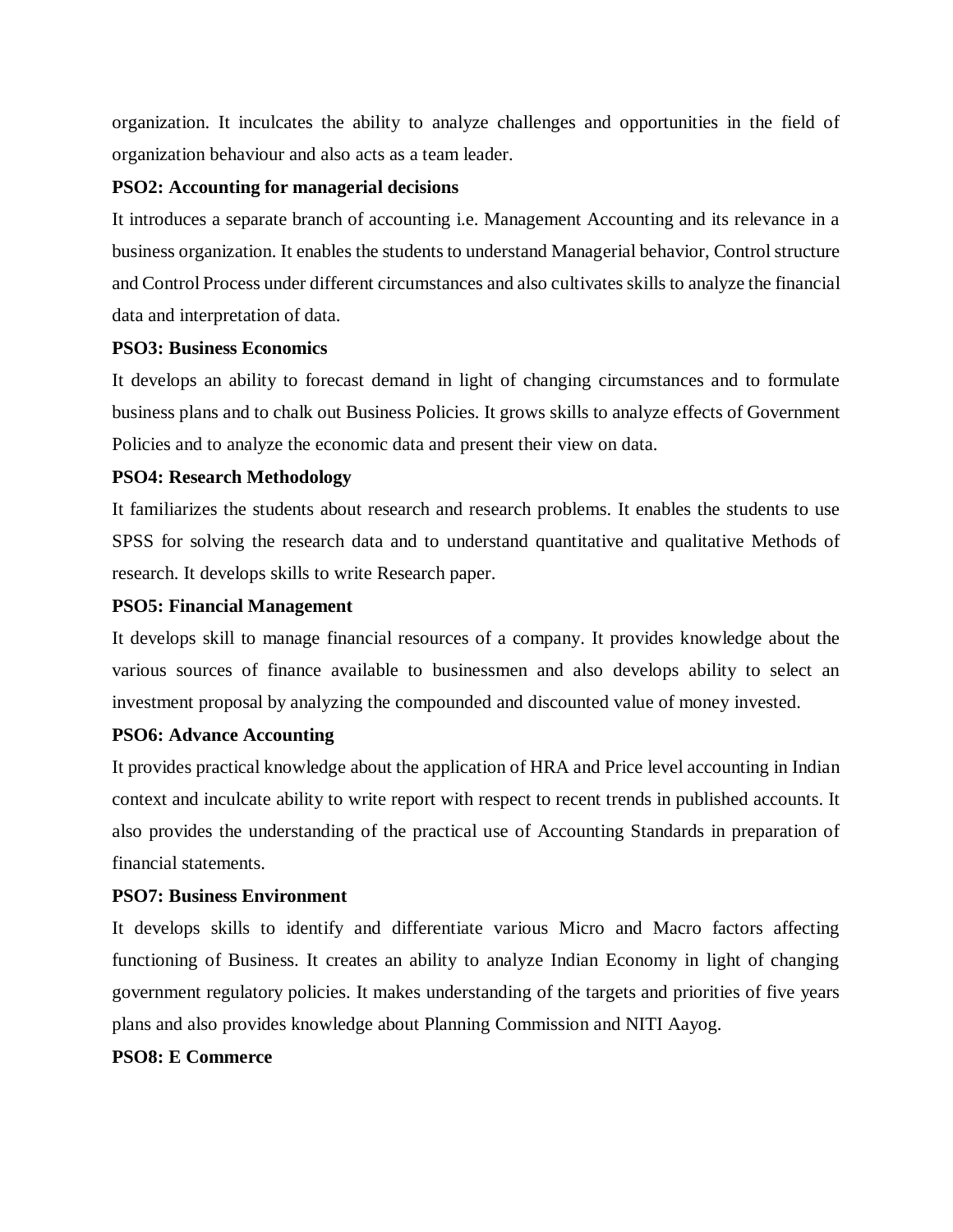organization. It inculcates the ability to analyze challenges and opportunities in the field of organization behaviour and also acts as a team leader.

### **PSO2: Accounting for managerial decisions**

It introduces a separate branch of accounting i.e. Management Accounting and its relevance in a business organization. It enables the students to understand Managerial behavior, Control structure and Control Process under different circumstances and also cultivates skills to analyze the financial data and interpretation of data.

## **PSO3: Business Economics**

It develops an ability to forecast demand in light of changing circumstances and to formulate business plans and to chalk out Business Policies. It grows skills to analyze effects of Government Policies and to analyze the economic data and present their view on data.

# **PSO4: Research Methodology**

It familiarizes the students about research and research problems. It enables the students to use SPSS for solving the research data and to understand quantitative and qualitative Methods of research. It develops skills to write Research paper.

## **PSO5: Financial Management**

It develops skill to manage financial resources of a company. It provides knowledge about the various sources of finance available to businessmen and also develops ability to select an investment proposal by analyzing the compounded and discounted value of money invested.

# **PSO6: Advance Accounting**

It provides practical knowledge about the application of HRA and Price level accounting in Indian context and inculcate ability to write report with respect to recent trends in published accounts. It also provides the understanding of the practical use of Accounting Standards in preparation of financial statements.

#### **PSO7: Business Environment**

It develops skills to identify and differentiate various Micro and Macro factors affecting functioning of Business. It creates an ability to analyze Indian Economy in light of changing government regulatory policies. It makes understanding of the targets and priorities of five years plans and also provides knowledge about Planning Commission and NITI Aayog.

#### **PSO8: E Commerce**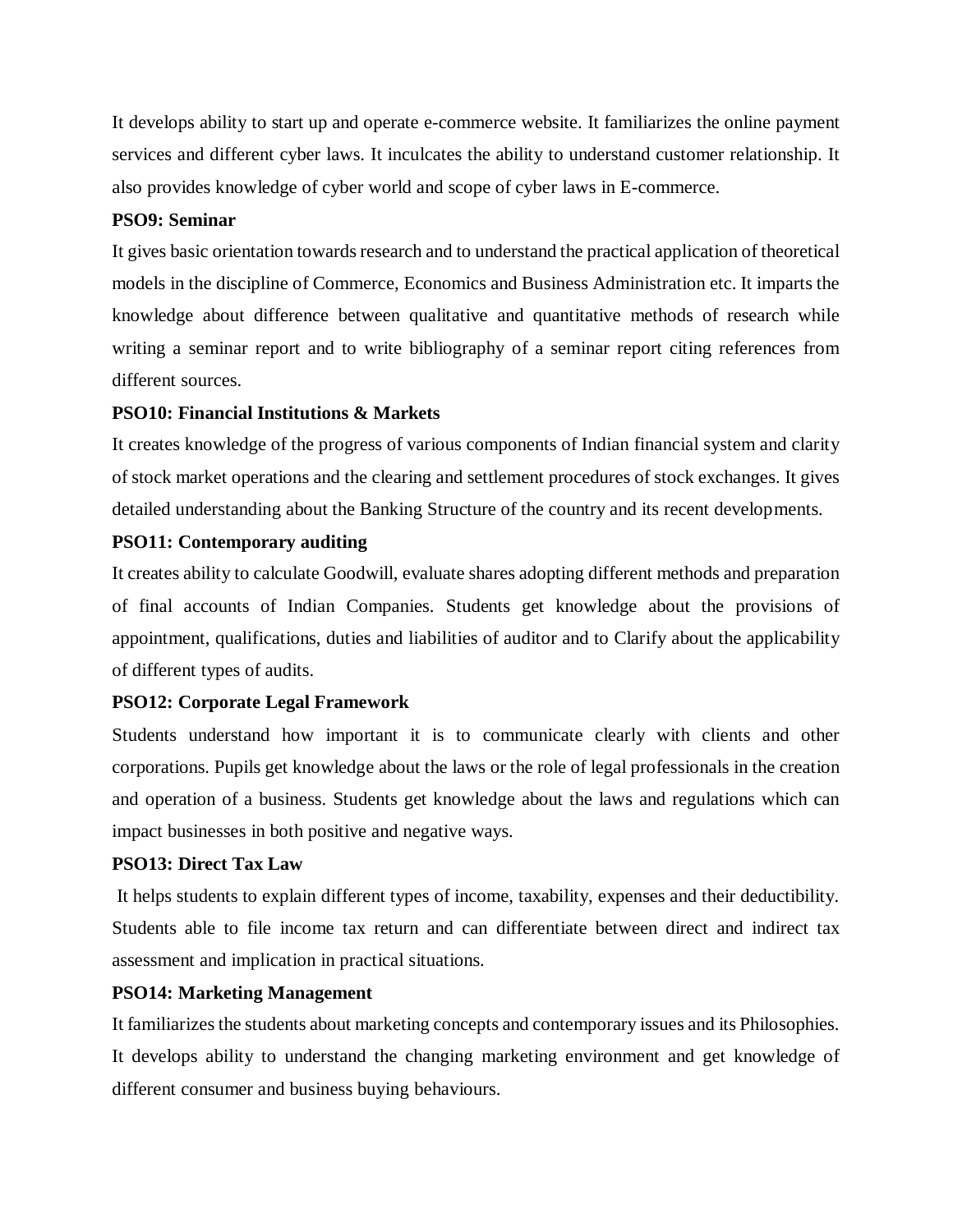It develops ability to start up and operate e-commerce website. It familiarizes the online payment services and different cyber laws. It inculcates the ability to understand customer relationship. It also provides knowledge of cyber world and scope of cyber laws in E-commerce.

### **PSO9: Seminar**

It gives basic orientation towards research and to understand the practical application of theoretical models in the discipline of Commerce, Economics and Business Administration etc. It imparts the knowledge about difference between qualitative and quantitative methods of research while writing a seminar report and to write bibliography of a seminar report citing references from different sources.

## **PSO10: Financial Institutions & Markets**

It creates knowledge of the progress of various components of Indian financial system and clarity of stock market operations and the clearing and settlement procedures of stock exchanges. It gives detailed understanding about the Banking Structure of the country and its recent developments.

# **PSO11: Contemporary auditing**

It creates ability to calculate Goodwill, evaluate shares adopting different methods and preparation of final accounts of Indian Companies. Students get knowledge about the provisions of appointment, qualifications, duties and liabilities of auditor and to Clarify about the applicability of different types of audits.

# **PSO12: Corporate Legal Framework**

Students understand how important it is to communicate clearly with clients and other corporations. Pupils get knowledge about the laws or the role of legal professionals in the creation and operation of a business. Students get knowledge about the laws and regulations which can impact businesses in both positive and negative ways.

# **PSO13: Direct Tax Law**

It helps students to explain different types of income, taxability, expenses and their deductibility. Students able to file income tax return and can differentiate between direct and indirect tax assessment and implication in practical situations.

# **PSO14: Marketing Management**

It familiarizes the students about marketing concepts and contemporary issues and its Philosophies. It develops ability to understand the changing marketing environment and get knowledge of different consumer and business buying behaviours.